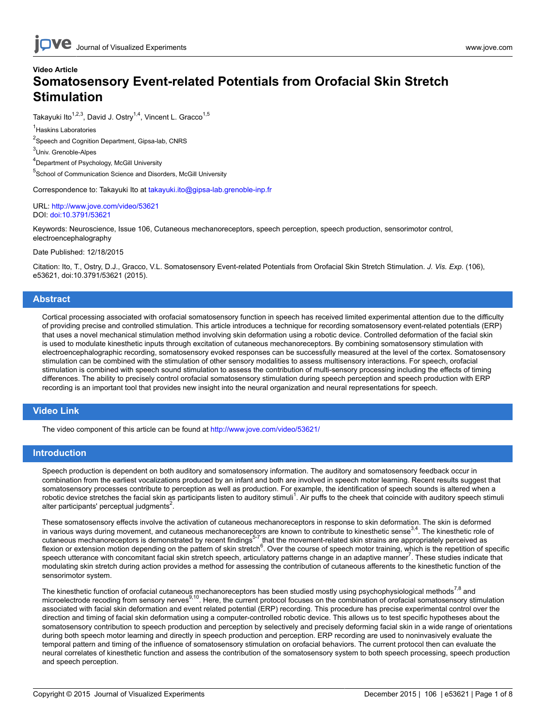# **Video Article Somatosensory Event-related Potentials from Orofacial Skin Stretch Stimulation**

Takayuki Ito<sup>1,2,3</sup>, David J. Ostry<sup>1,4</sup>, Vincent L. Gracco<sup>1,5</sup>

1 Haskins Laboratories

<sup>2</sup>Speech and Cognition Department, Gipsa-lab, CNRS

<sup>3</sup>Univ. Grenoble-Alpes

4 Department of Psychology, McGill University

5 School of Communication Science and Disorders, McGill University

Correspondence to: Takayuki Ito at [takayuki.ito@gipsa-lab.grenoble-inp.fr](mailto:takayuki.ito@gipsa-lab.grenoble-inp.fr)

URL:<http://www.jove.com/video/53621> DOI: [doi:10.3791/53621](http://dx.doi.org/10.3791/53621)

Keywords: Neuroscience, Issue 106, Cutaneous mechanoreceptors, speech perception, speech production, sensorimotor control, electroencephalography

Date Published: 12/18/2015

Citation: Ito, T., Ostry, D.J., Gracco, V.L. Somatosensory Event-related Potentials from Orofacial Skin Stretch Stimulation. *J. Vis. Exp.* (106), e53621, doi:10.3791/53621 (2015).

### **Abstract**

Cortical processing associated with orofacial somatosensory function in speech has received limited experimental attention due to the difficulty of providing precise and controlled stimulation. This article introduces a technique for recording somatosensory event-related potentials (ERP) that uses a novel mechanical stimulation method involving skin deformation using a robotic device. Controlled deformation of the facial skin is used to modulate kinesthetic inputs through excitation of cutaneous mechanoreceptors. By combining somatosensory stimulation with electroencephalographic recording, somatosensory evoked responses can be successfully measured at the level of the cortex. Somatosensory stimulation can be combined with the stimulation of other sensory modalities to assess multisensory interactions. For speech, orofacial stimulation is combined with speech sound stimulation to assess the contribution of multi-sensory processing including the effects of timing differences. The ability to precisely control orofacial somatosensory stimulation during speech perception and speech production with ERP recording is an important tool that provides new insight into the neural organization and neural representations for speech.

### **Video Link**

The video component of this article can be found at <http://www.jove.com/video/53621/>

### **Introduction**

Speech production is dependent on both auditory and somatosensory information. The auditory and somatosensory feedback occur in combination from the earliest vocalizations produced by an infant and both are involved in speech motor learning. Recent results suggest that somatosensory processes contribute to perception as well as production. For example, the identification of speech sounds is altered when a robotic device stretches the facial skin as participants listen to auditory stimuli<sup>1</sup>. Air puffs to the cheek that coincide with auditory speech stimuli alter participants' perceptual judgments<sup>2</sup>.

These somatosensory effects involve the activation of cutaneous mechanoreceptors in response to skin deformation. The skin is deformed in various ways during movement, and cutaneous mechanoreceptors are known to contribute to kinesthetic sense $3.4$ . The kinesthetic role of cutaneous mechanoreceptors is demonstrated by recent findings<sup>5-7</sup> that the movement-related skin strains are appropriately perceived as flexion or extension motion depending on the pattern of skin stretch<sup>6</sup>. Over the course of speech motor training, which is the repetition of specific speech utterance with concomitant facial skin stretch speech, articulatory patterns change in an adaptive manner<sup>7</sup>. These studies indicate that modulating skin stretch during action provides a method for assessing the contribution of cutaneous afferents to the kinesthetic function of the sensorimotor system.

The kinesthetic function of orofacial cutaneous mechanoreceptors has been studied mostly using psychophysiological methods<sup>7,8</sup> and microelectrode recoding from sensory nerves<sup>9,10</sup>. Here, the current protocol focuses on the combination of orofacial somatosensory stimulation associated with facial skin deformation and event related potential (ERP) recording. This procedure has precise experimental control over the direction and timing of facial skin deformation using a computer-controlled robotic device. This allows us to test specific hypotheses about the somatosensory contribution to speech production and perception by selectively and precisely deforming facial skin in a wide range of orientations during both speech motor learning and directly in speech production and perception. ERP recording are used to noninvasively evaluate the temporal pattern and timing of the influence of somatosensory stimulation on orofacial behaviors. The current protocol then can evaluate the neural correlates of kinesthetic function and assess the contribution of the somatosensory system to both speech processing, speech production and speech perception.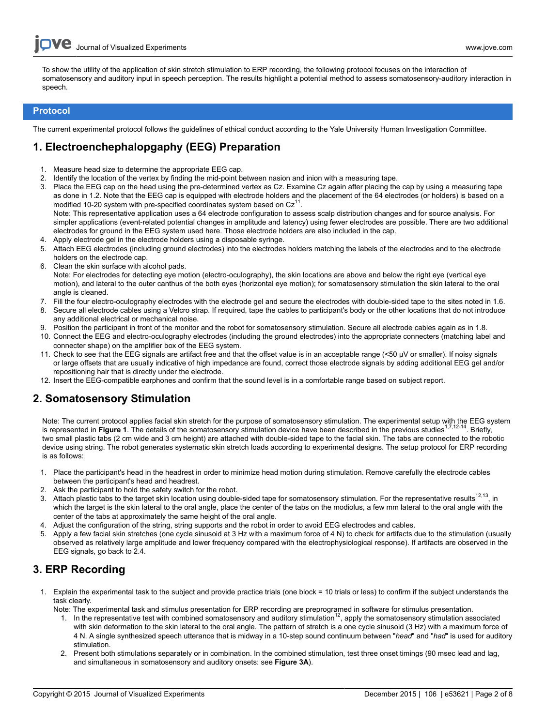To show the utility of the application of skin stretch stimulation to ERP recording, the following protocol focuses on the interaction of somatosensory and auditory input in speech perception. The results highlight a potential method to assess somatosensory-auditory interaction in speech.

### **Protocol**

The current experimental protocol follows the guidelines of ethical conduct according to the Yale University Human Investigation Committee.

# **1. Electroenchephalopgaphy (EEG) Preparation**

- 1. Measure head size to determine the appropriate EEG cap.
- 2. Identify the location of the vertex by finding the mid-point between nasion and inion with a measuring tape.
- 3. Place the EEG cap on the head using the pre-determined vertex as Cz. Examine Cz again after placing the cap by using a measuring tape as done in 1.2. Note that the EEG cap is equipped with electrode holders and the placement of the 64 electrodes (or holders) is based on a modified 10-20 system with pre-specified coordinates system based on  $Cz^{11}$ . Note: This representative application uses a 64 electrode configuration to assess scalp distribution changes and for source analysis. For simpler applications (event-related potential changes in amplitude and latency) using fewer electrodes are possible. There are two additional electrodes for ground in the EEG system used here. Those electrode holders are also included in the cap.
- 4. Apply electrode gel in the electrode holders using a disposable syringe.
- 5. Attach EEG electrodes (including ground electrodes) into the electrodes holders matching the labels of the electrodes and to the electrode holders on the electrode cap.
- 6. Clean the skin surface with alcohol pads.
- Note: For electrodes for detecting eye motion (electro-oculography), the skin locations are above and below the right eye (vertical eye motion), and lateral to the outer canthus of the both eyes (horizontal eye motion); for somatosensory stimulation the skin lateral to the oral angle is cleaned.
- 7. Fill the four electro-oculography electrodes with the electrode gel and secure the electrodes with double-sided tape to the sites noted in 1.6.
- 8. Secure all electrode cables using a Velcro strap. If required, tape the cables to participant's body or the other locations that do not introduce any additional electrical or mechanical noise.
- 9. Position the participant in front of the monitor and the robot for somatosensory stimulation. Secure all electrode cables again as in 1.8.
- 10. Connect the EEG and electro-oculography electrodes (including the ground electrodes) into the appropriate connecters (matching label and connecter shape) on the amplifier box of the EEG system.
- 11. Check to see that the EEG signals are artifact free and that the offset value is in an acceptable range (<50 µV or smaller). If noisy signals or large offsets that are usually indicative of high impedance are found, correct those electrode signals by adding additional EEG gel and/or repositioning hair that is directly under the electrode.
- 12. Insert the EEG-compatible earphones and confirm that the sound level is in a comfortable range based on subject report.

## **2. Somatosensory Stimulation**

Note: The current protocol applies facial skin stretch for the purpose of somatosensory stimulation. The experimental setup with the EEG system is represented in Figure 1. The details of the somatosensory stimulation device have been described in the previous studies<sup>1,7,12-14</sup>. Briefly, two small plastic tabs (2 cm wide and 3 cm height) are attached with double-sided tape to the facial skin. The tabs are connected to the robotic device using string. The robot generates systematic skin stretch loads according to experimental designs. The setup protocol for ERP recording is as follows:

- 1. Place the participant's head in the headrest in order to minimize head motion during stimulation. Remove carefully the electrode cables between the participant's head and headrest.
- 2. Ask the participant to hold the safety switch for the robot.
- 3. Attach plastic tabs to the target skin location using double-sided tape for somatosensory stimulation. For the representative results<sup>12,13</sup>, in which the target is the skin lateral to the oral angle, place the center of the tabs on the modiolus, a few mm lateral to the oral angle with the center of the tabs at approximately the same height of the oral angle.
- 4. Adjust the configuration of the string, string supports and the robot in order to avoid EEG electrodes and cables.
- 5. Apply a few facial skin stretches (one cycle sinusoid at 3 Hz with a maximum force of 4 N) to check for artifacts due to the stimulation (usually observed as relatively large amplitude and lower frequency compared with the electrophysiological response). If artifacts are observed in the EEG signals, go back to 2.4.

# **3. ERP Recording**

- 1. Explain the experimental task to the subject and provide practice trials (one block = 10 trials or less) to confirm if the subject understands the task clearly.
	- Note: The experimental task and stimulus presentation for ERP recording are preprogramed in software for stimulus presentation.
		- 1. In the representative test with combined somatosensory and auditory stimulation<sup>12</sup>, apply the somatosensory stimulation associated with skin deformation to the skin lateral to the oral angle. The pattern of stretch is a one cycle sinusoid (3 Hz) with a maximum force of 4 N. A single synthesized speech utterance that is midway in a 10-step sound continuum between "*head*" and "*had*" is used for auditory stimulation.
		- 2. Present both stimulations separately or in combination. In the combined stimulation, test three onset timings (90 msec lead and lag, and simultaneous in somatosensory and auditory onsets: see **Figure 3A**).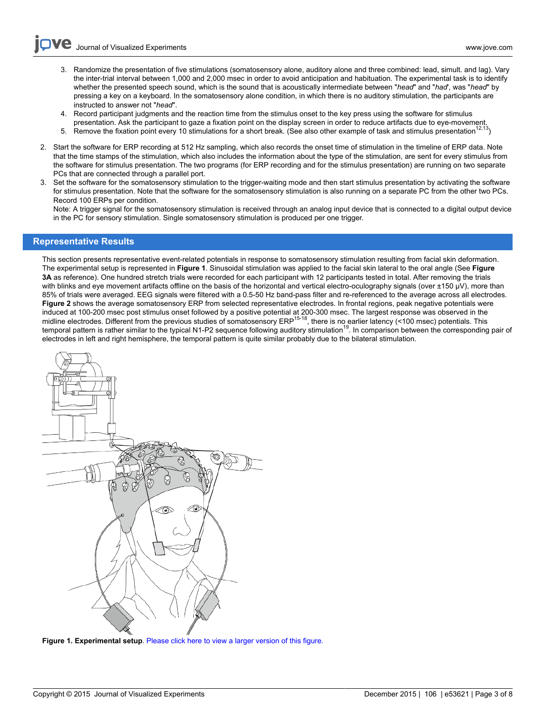- Journal of Visualized [Experiments](http://www.jove.com) [www.jove.com](http://www.jove.com)
	- 3. Randomize the presentation of five stimulations (somatosensory alone, auditory alone and three combined: lead, simult. and lag). Vary the inter-trial interval between 1,000 and 2,000 msec in order to avoid anticipation and habituation. The experimental task is to identify whether the presented speech sound, which is the sound that is acoustically intermediate between "*head*" and "*had*', was "*head*" by pressing a key on a keyboard. In the somatosensory alone condition, in which there is no auditory stimulation, the participants are instructed to answer not "*head*".
	- 4. Record participant judgments and the reaction time from the stimulus onset to the key press using the software for stimulus presentation. Ask the participant to gaze a fixation point on the display screen in order to reduce artifacts due to eye-movement.
	- 5. Remove the fixation point every 10 stimulations for a short break. (See also other example of task and stimulus presentation<sup>1</sup>
- 2. Start the software for ERP recording at 512 Hz sampling, which also records the onset time of stimulation in the timeline of ERP data. Note that the time stamps of the stimulation, which also includes the information about the type of the stimulation, are sent for every stimulus from the software for stimulus presentation. The two programs (for ERP recording and for the stimulus presentation) are running on two separate PCs that are connected through a parallel port.
- 3. Set the software for the somatosensory stimulation to the trigger-waiting mode and then start stimulus presentation by activating the software for stimulus presentation. Note that the software for the somatosensory stimulation is also running on a separate PC from the other two PCs. Record 100 ERPs per condition.

Note: A trigger signal for the somatosensory stimulation is received through an analog input device that is connected to a digital output device in the PC for sensory stimulation. Single somatosensory stimulation is produced per one trigger.

### **Representative Results**

This section presents representative event-related potentials in response to somatosensory stimulation resulting from facial skin deformation. The experimental setup is represented in **Figure 1**. Sinusoidal stimulation was applied to the facial skin lateral to the oral angle (See **Figure 3A** as reference). One hundred stretch trials were recorded for each participant with 12 participants tested in total. After removing the trials with blinks and eve movement artifacts offline on the basis of the horizontal and vertical electro-oculography signals (over ±150 µV), more than 85% of trials were averaged. EEG signals were filtered with a 0.5-50 Hz band-pass filter and re-referenced to the average across all electrodes. **Figure 2** shows the average somatosensory ERP from selected representative electrodes. In frontal regions, peak negative potentials were induced at 100-200 msec post stimulus onset followed by a positive potential at 200-300 msec. The largest response was observed in the midline electrodes. Different from the previous studies of somatosensory ERP<sup>15-18</sup>, there is no earlier latency (<100 msec) potentials. This temporal pattern is rather similar to the typical N1-P2 sequence following auditory stimulation<sup>19</sup>. In comparison between the corresponding pair of electrodes in left and right hemisphere, the temporal pattern is quite similar probably due to the bilateral stimulation.



**Figure 1. Experimental setup**. [Please click here to view a larger version of this figure.](https://www.jove.com/files/ftp_upload/53621/53621fig1large.jpg)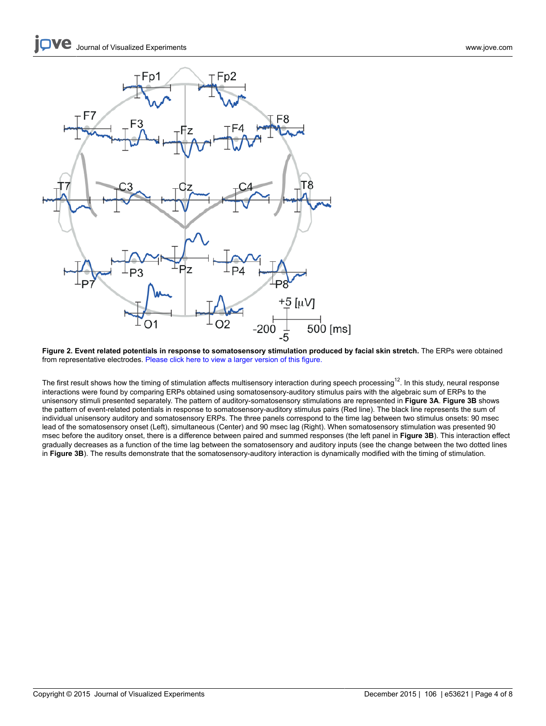

**Figure 2. Event related potentials in response to somatosensory stimulation produced by facial skin stretch.** The ERPs were obtained from representative electrodes. [Please click here to view a larger version of this figure.](https://www.jove.com/files/ftp_upload/53621/53621fig2large.jpg)

The first result shows how the timing of stimulation affects multisensory interaction during speech processing<sup>12</sup>. In this study, neural response interactions were found by comparing ERPs obtained using somatosensory-auditory stimulus pairs with the algebraic sum of ERPs to the unisensory stimuli presented separately. The pattern of auditory-somatosensory stimulations are represented in **Figure 3A**. **Figure 3B** shows the pattern of event-related potentials in response to somatosensory-auditory stimulus pairs (Red line). The black line represents the sum of individual unisensory auditory and somatosensory ERPs. The three panels correspond to the time lag between two stimulus onsets: 90 msec lead of the somatosensory onset (Left), simultaneous (Center) and 90 msec lag (Right). When somatosensory stimulation was presented 90 msec before the auditory onset, there is a difference between paired and summed responses (the left panel in **Figure 3B**). This interaction effect gradually decreases as a function of the time lag between the somatosensory and auditory inputs (see the change between the two dotted lines in **Figure 3B**). The results demonstrate that the somatosensory-auditory interaction is dynamically modified with the timing of stimulation.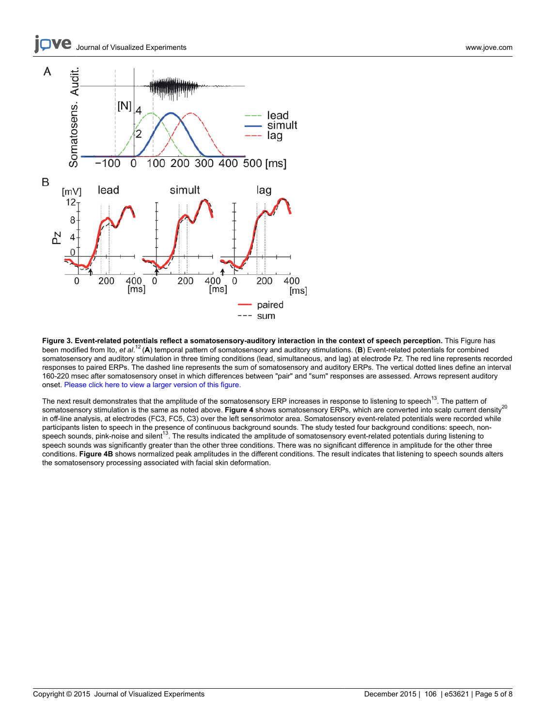#### ve Journal of Visualized [Experiments](http://www.jove.com) [www.jove.com](http://www.jove.com)



**Figure 3. Event-related potentials reflect a somatosensory-auditory interaction in the context of speech perception.** This Figure has been modified from Ito, et al.<sup>12</sup> (A) temporal pattern of somatosensory and auditory stimulations. (B) Event-related potentials for combined somatosensory and auditory stimulation in three timing conditions (lead, simultaneous, and lag) at electrode Pz. The red line represents recorded responses to paired ERPs. The dashed line represents the sum of somatosensory and auditory ERPs. The vertical dotted lines define an interval 160-220 msec after somatosensory onset in which differences between "pair" and "sum" responses are assessed. Arrows represent auditory onset. [Please click here to view a larger version of this figure.](https://www.jove.com/files/ftp_upload/53621/53621fig3large.jpg)

The next result demonstrates that the amplitude of the somatosensory ERP increases in response to listening to speech<sup>13</sup>. The pattern of somatosensory stimulation is the same as noted above. Figure 4 shows somatosensory ERPs, which are converted into scalp current density<sup>20</sup> in off-line analysis, at electrodes (FC3, FC5, C3) over the left sensorimotor area. Somatosensory event-related potentials were recorded while participants listen to speech in the presence of continuous background sounds. The study tested four background conditions: speech, nonspeech sounds, pink-noise and silent<sup>13</sup>. The results indicated the amplitude of somatosensory event-related potentials during listening to speech sounds was significantly greater than the other three conditions. There was no significant difference in amplitude for the other three conditions. **Figure 4B** shows normalized peak amplitudes in the different conditions. The result indicates that listening to speech sounds alters the somatosensory processing associated with facial skin deformation.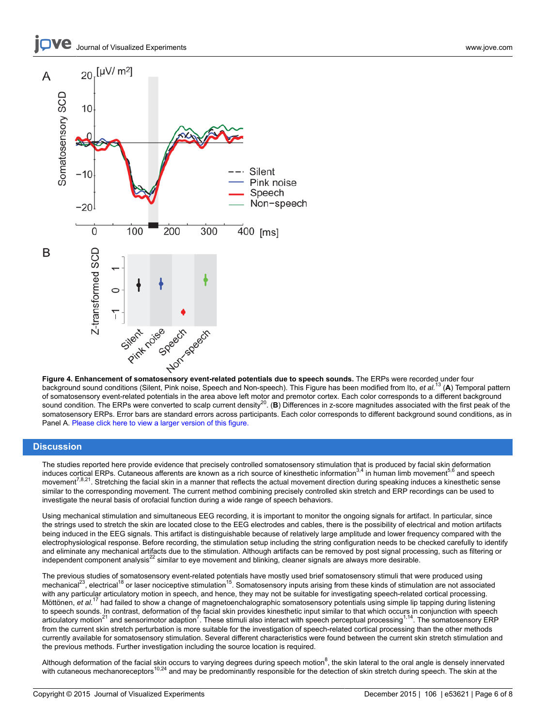



**Figure 4. Enhancement of somatosensory event-related potentials due to speech sounds.** The ERPs were recorded under four background sound conditions (Silent, Pink noise, Speech and Non-speech). This Figure has been modified from Ito, *et al.*<sup>13</sup> (**A**) Temporal pattern of somatosensory event-related potentials in the area above left motor and premotor cortex. Each color corresponds to a different background sound condition. The ERPs were converted to scalp current density<sup>20</sup>. (B) Differences in z-score magnitudes associated with the first peak of the somatosensory ERPs. Error bars are standard errors across participants. Each color corresponds to different background sound conditions, as in Panel A. [Please click here to view a larger version of this figure.](https://www.jove.com/files/ftp_upload/53621/53621fig4large.jpg)

## **Discussion**

The studies reported here provide evidence that precisely controlled somatosensory stimulation that is produced by facial skin deformation induces cortical ERPs. Cutaneous afferents are known as a rich source of kinesthetic information<sup>3,4</sup> in human limb movement<sup>5,6</sup> and speech movement<sup>7,8,21</sup>. Stretching the facial skin in a manner that reflects the actual movement direction during speaking induces a kinesthetic sense similar to the corresponding movement. The current method combining precisely controlled skin stretch and ERP recordings can be used to investigate the neural basis of orofacial function during a wide range of speech behaviors.

Using mechanical stimulation and simultaneous EEG recording, it is important to monitor the ongoing signals for artifact. In particular, since the strings used to stretch the skin are located close to the EEG electrodes and cables, there is the possibility of electrical and motion artifacts being induced in the EEG signals. This artifact is distinguishable because of relatively large amplitude and lower frequency compared with the electrophysiological response. Before recording, the stimulation setup including the string configuration needs to be checked carefully to identify and eliminate any mechanical artifacts due to the stimulation. Although artifacts can be removed by post signal processing, such as filtering or independent component analysis<sup>22</sup> similar to eye movement and blinking, cleaner signals are always more desirable.

The previous studies of somatosensory event-related potentials have mostly used brief somatosensory stimuli that were produced using<br>mechanical<sup>23</sup>, electrical<sup>18</sup> or laser nociceptive stimulation<sup>15</sup>. Somatosensory inputs with any particular articulatory motion in speech, and hence, they may not be suitable for investigating speech-related cortical processing. Möttönen, *et al.*<sup>17</sup> had failed to show a change of magnetoenchalographic somatosensory potentials using simple lip tapping during listening to speech sounds. In contrast, deformation of the facial skin provides kinesthetic input similar to that which occurs in conjunction with speech articulatory motion<sup>21</sup> and sensorimotor adaption<sup>7</sup>. These stimuli also interact with speech perceptual processing<sup>1,14</sup>. The somatosensory ERP from the current skin stretch perturbation is more suitable for the investigation of speech-related cortical processing than the other methods currently available for somatosensory stimulation. Several different characteristics were found between the current skin stretch stimulation and the previous methods. Further investigation including the source location is required.

Although deformation of the facial skin occurs to varying degrees during speech motion<sup>8</sup>, the skin lateral to the oral angle is densely innervated<br>with cutaneous mechanoreceptors<sup>10,24</sup> and may be predominantly responsibl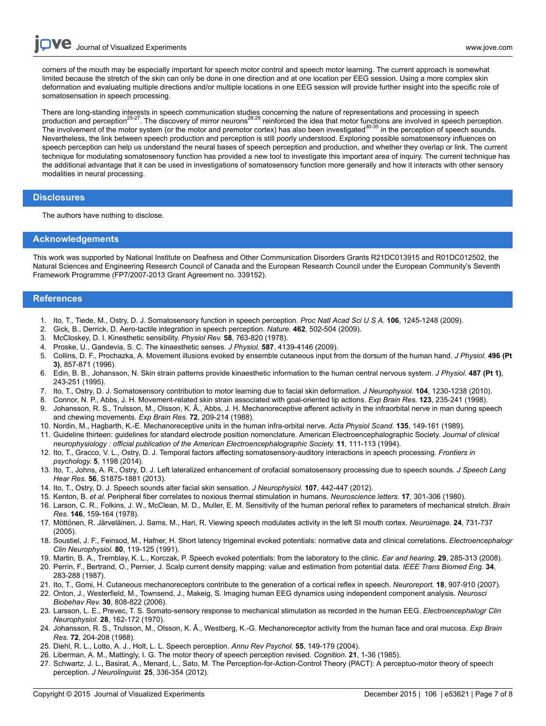corners of the mouth may be especially important for speech motor control and speech motor learning. The current approach is somewhat limited because the stretch of the skin can only be done in one direction and at one location per EEG session. Using a more complex skin deformation and evaluating multiple directions and/or multiple locations in one EEG session will provide further insight into the specific role of somatosensation in speech processing.

There are long-standing interests in speech communication studies concerning the nature of representations and processing in speech<br>production and perception<sup>25-27</sup>. The discovery of mirror neurons<sup>28,29</sup> reinforced the id The involvement of the motor system (or the motor and premotor cortex) has also been investigated<sup>30-35</sup> in the perception of speech sounds. Nevertheless, the link between speech production and perception is still poorly understood. Exploring possible somatosensory influences on speech perception can help us understand the neural bases of speech perception and production, and whether they overlap or link. The current technique for modulating somatosensory function has provided a new tool to investigate this important area of inquiry. The current technique has the additional advantage that it can be used in investigations of somatosensory function more generally and how it interacts with other sensory modalities in neural processing.

#### **Disclosures**

The authors have nothing to disclose.

#### **Acknowledgements**

This work was supported by National Institute on Deafness and Other Communication Disorders Grants R21DC013915 and R01DC012502, the Natural Sciences and Engineering Research Council of Canada and the European Research Council under the European Community's Seventh Framework Programme (FP7/2007-2013 Grant Agreement no. 339152).

## **References**

- 1. Ito, T., Tiede, M., Ostry, D. J. Somatosensory function in speech perception. *Proc Natl Acad Sci U S A.* **106**, 1245-1248 (2009).
- 2. Gick, B., Derrick, D. Aero-tactile integration in speech perception. *Nature.* **462**, 502-504 (2009).
- 3. McCloskey, D. I. Kinesthetic sensibility. *Physiol Rev.* **58**, 763-820 (1978).
- 4. Proske, U., Gandevia, S. C. The kinaesthetic senses. *J Physiol.* **587**, 4139-4146 (2009).
- 5. Collins, D. F., Prochazka, A. Movement illusions evoked by ensemble cutaneous input from the dorsum of the human hand. *J Physiol.* **496 (Pt 3)**, 857-871 (1996).
- 6. Edin, B. B., Johansson, N. Skin strain patterns provide kinaesthetic information to the human central nervous system. *J Physiol.* **487 (Pt 1)**, 243-251 (1995).
- 7. Ito, T., Ostry, D. J. Somatosensory contribution to motor learning due to facial skin deformation. *J Neurophysiol.* **104**, 1230-1238 (2010).
- 8. Connor, N. P., Abbs, J. H. Movement-related skin strain associated with goal-oriented lip actions. *Exp Brain Res.* **123**, 235-241 (1998).
- 9. Johansson, R. S., Trulsson, M., Olsson, K. Â., Abbs, J. H. Mechanoreceptive afferent activity in the infraorbital nerve in man during speech and chewing movements. *Exp Brain Res.* **72**, 209-214 (1988).
- 10. Nordin, M., Hagbarth, K.-E. Mechanoreceptive units in the human infra-orbital nerve. *Acta Physiol Scand.* **135**, 149-161 (1989).
- 11. Guideline thirteen: guidelines for standard electrode position nomenclature. American Electroencephalographic Society. *Journal of clinical neurophysiology : official publication of the American Electroencephalographic Society.* **11**, 111-113 (1994).
- 12. Ito, T., Gracco, V. L., Ostry, D. J. Temporal factors affecting somatosensory-auditory interactions in speech processing. *Frontiers in psychology.* **5**, 1198 (2014).
- 13. Ito, T., Johns, A. R., Ostry, D. J. Left lateralized enhancement of orofacial somatosensory processing due to speech sounds. *J Speech Lang Hear Res.* **56**, S1875-1881 (2013).
- 14. Ito, T., Ostry, D. J. Speech sounds alter facial skin sensation. *J Neurophysiol.* **107**, 442-447 (2012).
- 15. Kenton, B. *et al.* Peripheral fiber correlates to noxious thermal stimulation in humans. *Neuroscience letters.* **17**, 301-306 (1980).
- 16. Larson, C. R., Folkins, J. W., McClean, M. D., Muller, E. M. Sensitivity of the human perioral reflex to parameters of mechanical stretch. *Brain Res.* **146**, 159-164 (1978).
- 17. Möttönen, R. Järveläinen, J. Sams, M., Hari, R. Viewing speech modulates activity in the left SI mouth cortex. *Neuroimage.* **24**, 731-737 (2005).
- 18. Soustiel, J. F., Feinsod, M., Hafner, H. Short latency trigeminal evoked potentials: normative data and clinical correlations. *Electroencephalogr Clin Neurophysiol.* **80**, 119-125 (1991).
- 19. Martin, B. A., Tremblay, K. L., Korczak, P. Speech evoked potentials: from the laboratory to the clinic. *Ear and hearing.* **29**, 285-313 (2008).
- 20. Perrin, F., Bertrand, O., Pernier, J. Scalp current density mapping: value and estimation from potential data. *IEEE Trans Biomed Eng.* **34**, 283-288 (1987).
- 21. Ito, T., Gomi, H. Cutaneous mechanoreceptors contribute to the generation of a cortical reflex in speech. *Neuroreport.* **18**, 907-910 (2007).
- 22. Onton, J., Westerfield, M., Townsend, J., Makeig, S. Imaging human EEG dynamics using independent component analysis. *Neurosci Biobehav Rev.* **30**, 808-822 (2006).
- 23. Larsson, L. E., Prevec, T. S. Somato-sensory response to mechanical stimulation as recorded in the human EEG. *Electroencephalogr Clin Neurophysiol.* **28**, 162-172 (1970).
- 24. Johansson, R. S., Trulsson, M., Olsson, K. Â., Westberg, K.-G. Mechanoreceptor activity from the human face and oral mucosa. *Exp Brain Res.* **72**, 204-208 (1988).
- 25. Diehl, R. L., Lotto, A. J., Holt, L. L. Speech perception. *Annu Rev Psychol.* **55**, 149-179 (2004).
- 26. Liberman, A. M., Mattingly, I. G. The motor theory of speech perception revised. *Cognition.* **21**, 1-36 (1985).
- 27. Schwartz, J. L., Basirat, A., Menard, L., Sato, M. The Perception-for-Action-Control Theory (PACT): A perceptuo-motor theory of speech perception. *J Neurolinguist.* **25**, 336-354 (2012).